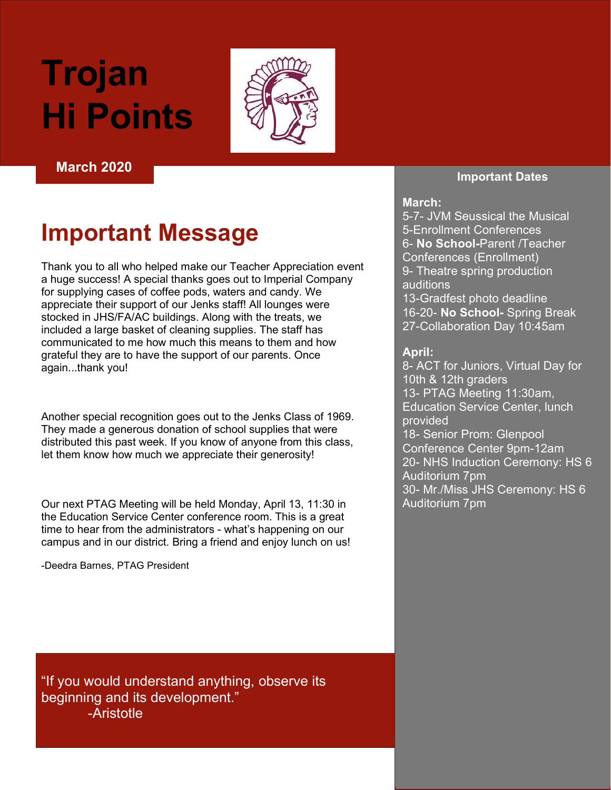# Trojan Hi Points



### March 2020

# Important Message

Thank you to all who helped make our Teacher Appreciation event a huge success! A special thanks goes out to Imperial Company for supplying cases of coffee pods, waters and candy. We appreciate their support of our Jenks staff! All lounges were stocked in JHS/FA/AC buildings. Along with the treats, we included a large basket of cleaning supplies. The staff has communicated to me how much this means to them and how grateful they are to have the support of our parents. Once again...thank you!

Another special recognition goes out to the Jenks Class of 1969. They made a generous donation of school supplies that were distributed this past week. If you know of anyone from this class, let them know how much we appreciate their generosity!

Our next PTAG Meeting will be held Monday, April 13, 11:30 in the Education Service Center conference room. This is a great time to hear from the administrators - what's happening on our campus and in our district. Bring a friend and enjoy lunch on us!

-Deedra Barnes, PTAG President

"If you would understand anything, observe its beginning and its development." -Aristotle

### Important Dates

#### March:

5-7- JVM Seussical the Musical 5-Enrollment Conferences 6- No School-Parent /Teacher Conferences (Enrollment) 9- Theatre spring production auditions 13-Gradfest photo deadline 16-20- No School- Spring Break 27-Collaboration Day 10:45am

#### April:

8- ACT for Juniors, Virtual Day for 10th & 12th graders 13- PTAG Meeting 11:30am, Education Service Center, lunch provided 18- Senior Prom: Glenpool Conference Center 9pm-12am 20- NHS Induction Ceremony: HS 6 Auditorium 7pm 30- Mr./Miss JHS Ceremony: HS 6 Auditorium 7pm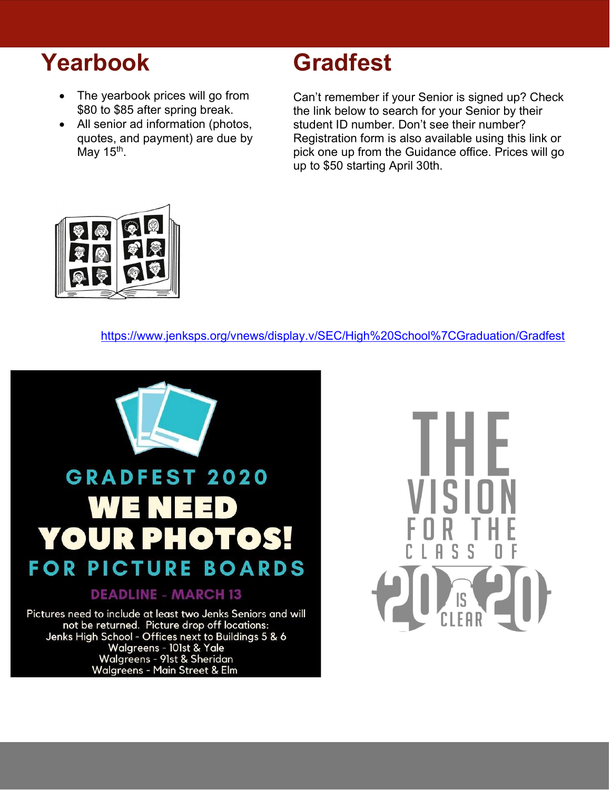### Yearbook

- The yearbook prices will go from \$80 to \$85 after spring break.
- All senior ad information (photos, quotes, and payment) are due by May 15<sup>th</sup>.

# Gradfest

Can't remember if your Senior is signed up? Check the link below to search for your Senior by their student ID number. Don't see their number? Registration form is also available using this link or pick one up from the Guidance office. Prices will go up to \$50 starting April 30th.



https://www.jenksps.org/vnews/display.v/SEC/High%20School%7CGraduation/Gradfest



Pictures need to include at least two Jenks Seniors and will not be returned. Picture drop off locations: Jenks High School - Offices next to Buildings 5 & 6<br>Walgreens - 101st & Yale<br>Walgreens - 91st & Sheridan Walgreens - Main Street & Elm

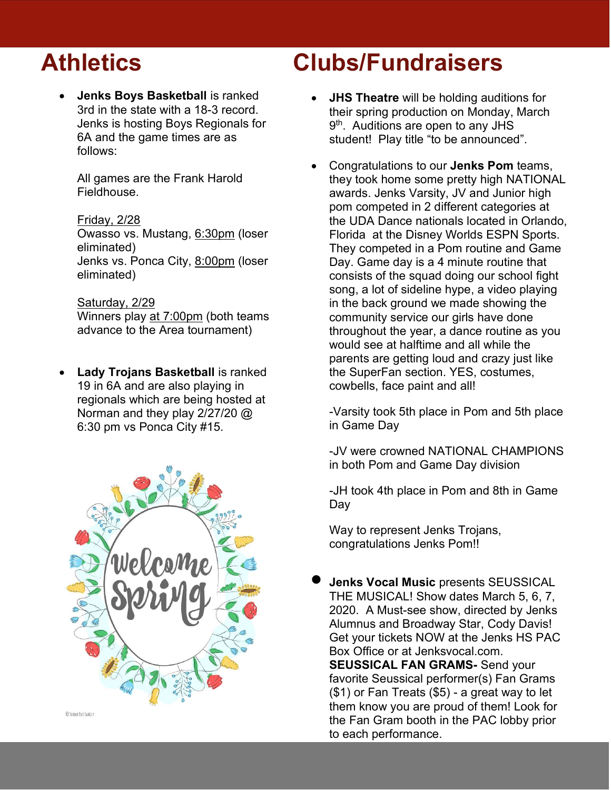# Athletics

 Jenks Boys Basketball is ranked 3rd in the state with a 18-3 record. Jenks is hosting Boys Regionals for 6A and the game times are as follows:

All games are the Frank Harold Fieldhouse.

Friday, 2/28 Owasso vs. Mustang, 6:30pm (loser eliminated) Jenks vs. Ponca City, 8:00pm (loser eliminated)

Saturday, 2/29 Winners play at 7:00pm (both teams advance to the Area tournament)

 Lady Trojans Basketball is ranked 19 in 6A and are also playing in regionals which are being hosted at Norman and they play 2/27/20 @ 6:30 pm vs Ponca City #15.



C SUNNY DAY FAMILY

### Clubs/Fundraisers

- **JHS Theatre** will be holding auditions for their spring production on Monday, March 9<sup>th</sup>. Auditions are open to any JHS student! Play title "to be announced".
- Congratulations to our Jenks Pom teams, they took home some pretty high NATIONAL awards. Jenks Varsity, JV and Junior high pom competed in 2 different categories at the UDA Dance nationals located in Orlando, Florida at the Disney Worlds ESPN Sports. They competed in a Pom routine and Game Day. Game day is a 4 minute routine that consists of the squad doing our school fight song, a lot of sideline hype, a video playing in the back ground we made showing the community service our girls have done throughout the year, a dance routine as you would see at halftime and all while the parents are getting loud and crazy just like the SuperFan section. YES, costumes, cowbells, face paint and all!

-Varsity took 5th place in Pom and 5th place in Game Day

-JV were crowned NATIONAL CHAMPIONS in both Pom and Game Day division

-JH took 4th place in Pom and 8th in Game Day

Way to represent Jenks Trojans, congratulations Jenks Pom!!

 Jenks Vocal Music presents SEUSSICAL THE MUSICAL! Show dates March 5, 6, 7, 2020. A Must-see show, directed by Jenks Alumnus and Broadway Star, Cody Davis! Get your tickets NOW at the Jenks HS PAC Box Office or at Jenksvocal.com. SEUSSICAL FAN GRAMS- Send your favorite Seussical performer(s) Fan Grams (\$1) or Fan Treats (\$5) - a great way to let them know you are proud of them! Look for the Fan Gram booth in the PAC lobby prior to each performance.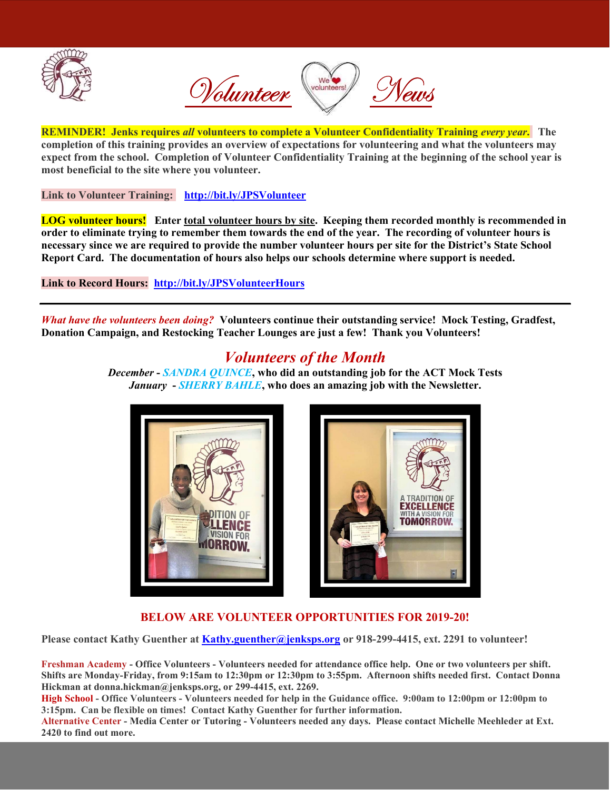



REMINDER! Jenks requires all volunteers to complete a Volunteer Confidentiality Training every year. The completion of this training provides an overview of expectations for volunteering and what the volunteers may expect from the school. Completion of Volunteer Confidentiality Training at the beginning of the school year is most beneficial to the site where you volunteer.

Link to Volunteer Training: http://bit.ly/JPSVolunteer

LOG volunteer hours! Enter total volunteer hours by site. Keeping them recorded monthly is recommended in order to eliminate trying to remember them towards the end of the year. The recording of volunteer hours is necessary since we are required to provide the number volunteer hours per site for the District's State School Report Card. The documentation of hours also helps our schools determine where support is needed.

Link to Record Hours: http://bit.ly/JPSVolunteerHours

What have the volunteers been doing? Volunteers continue their outstanding service! Mock Testing, Gradfest, Donation Campaign, and Restocking Teacher Lounges are just a few! Thank you Volunteers!

### Volunteers of the Month

December - SANDRA QUINCE, who did an outstanding job for the ACT Mock Tests January - SHERRY BAHLE, who does an amazing job with the Newsletter.





### BELOW ARE VOLUNTEER OPPORTUNITIES FOR 2019-20!

Please contact Kathy Guenther at **Kathy.guenther@jenksps.org** or 918-299-4415, ext. 2291 to volunteer!

Freshman Academy - Office Volunteers - Volunteers needed for attendance office help. One or two volunteers per shift. Shifts are Monday-Friday, from 9:15am to 12:30pm or 12:30pm to 3:55pm. Afternoon shifts needed first. Contact Donna Hickman at donna.hickman@jenksps.org, or 299-4415, ext. 2269.

High School - Office Volunteers - Volunteers needed for help in the Guidance office. 9:00am to 12:00pm or 12:00pm to 3:15pm. Can be flexible on times! Contact Kathy Guenther for further information.

Alternative Center - Media Center or Tutoring - Volunteers needed any days. Please contact Michelle Meehleder at Ext. 2420 to find out more.